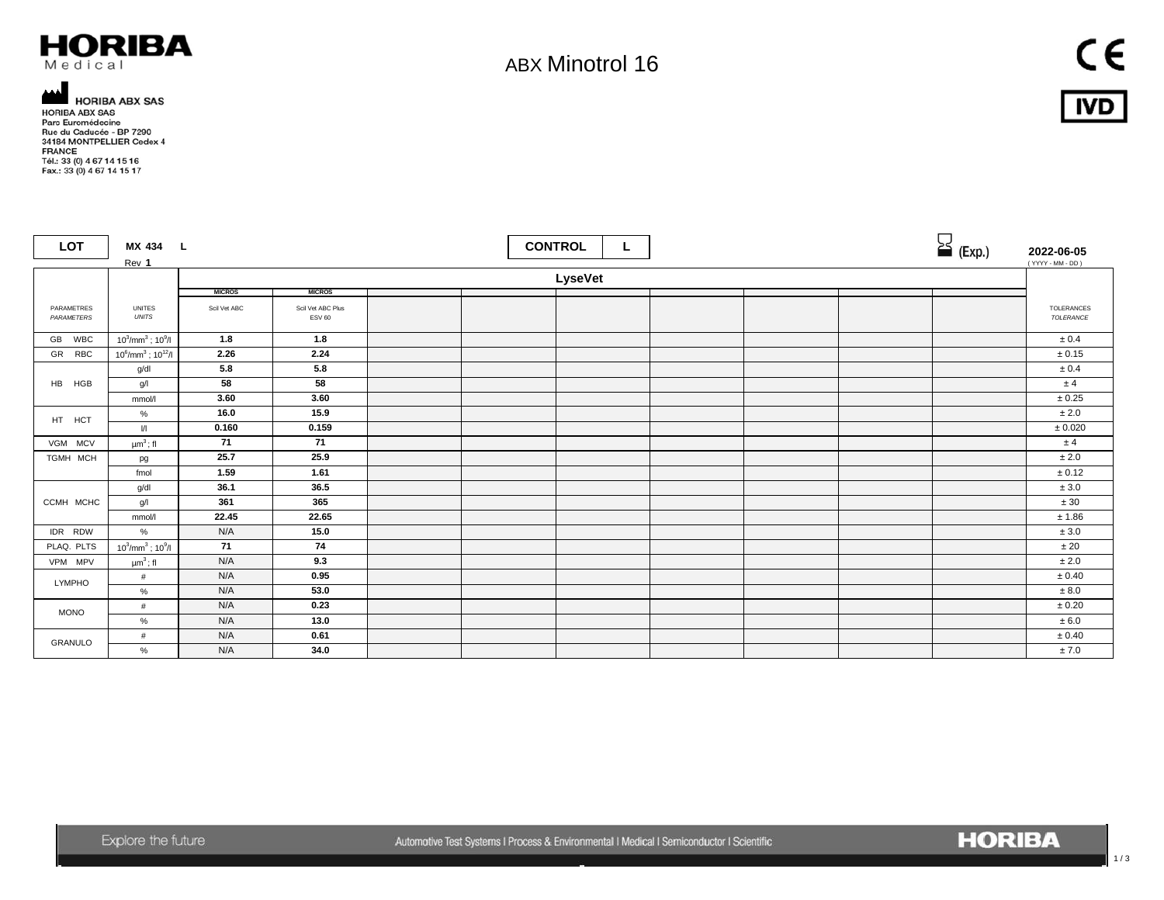

## ABX Minotrol 16

 $C \in$ **IVD** 

HORIBA ABX SAS<br>HORIBA ABX SAS<br>Pare Euromédecine<br>Rue du Caducée - BP 7290<br>34184 MONTPELLIER Cedex 4 FRANCE Tél.: 33 (0) 4 67 14 15 16<br>Fax.: 33 (0) 4 67 14 15 17

| <b>LOT</b>               | MX 434 L<br>Rev 1                      |                                |                                    |  | <b>CONTROL</b> | ц |  |  | $\sum$ (Exp.) | 2022-06-05<br>(YYYY - MM - DD) |
|--------------------------|----------------------------------------|--------------------------------|------------------------------------|--|----------------|---|--|--|---------------|--------------------------------|
|                          |                                        | LyseVet                        |                                    |  |                |   |  |  |               |                                |
|                          |                                        | <b>MICROS</b><br><b>MICROS</b> |                                    |  |                |   |  |  |               |                                |
| PARAMETRES<br>PARAMETERS | <b>UNITES</b><br><b>UNITS</b>          | Scil Vet ABC                   | Scil Vet ABC Plus<br><b>ESV 60</b> |  |                |   |  |  |               | TOLERANCES<br>TOLERANCE        |
| GB WBC                   | $10^3$ /mm <sup>3</sup> ; $10^9$ /l    | 1.8                            | 1.8                                |  |                |   |  |  |               | ± 0.4                          |
| GR RBC                   | $10^6$ /mm <sup>3</sup> ; $10^{12}$ /l | 2.26                           | 2.24                               |  |                |   |  |  |               | ± 0.15                         |
|                          | g/dl                                   | 5.8                            | 5.8                                |  |                |   |  |  |               | ± 0.4                          |
| HB HGB                   | g/l                                    | 58                             | 58                                 |  |                |   |  |  |               | ±4                             |
|                          | mmol/l                                 | 3.60                           | 3.60                               |  |                |   |  |  |               | $\pm$ 0.25                     |
| HT HCT                   | %                                      | 16.0                           | 15.9                               |  |                |   |  |  |               | ± 2.0                          |
|                          | $\mathcal{U}$                          | 0.160                          | 0.159                              |  |                |   |  |  |               | $\pm$ 0.020                    |
| VGM MCV                  | $\mu m^3$ ; fl                         | 71                             | 71                                 |  |                |   |  |  |               | ±4                             |
| TGMH MCH                 | pg                                     | 25.7                           | 25.9                               |  |                |   |  |  |               | ± 2.0                          |
|                          | fmol                                   | 1.59                           | 1.61                               |  |                |   |  |  |               | $\pm$ 0.12                     |
|                          | g/dl                                   | 36.1                           | 36.5                               |  |                |   |  |  |               | ± 3.0                          |
| CCMH MCHC                | g/l                                    | 361                            | 365                                |  |                |   |  |  |               | $\pm\,30$                      |
|                          | mmol/l                                 | 22.45                          | 22.65                              |  |                |   |  |  |               | ± 1.86                         |
| IDR RDW                  | $\%$                                   | N/A                            | 15.0                               |  |                |   |  |  |               | $\pm 3.0$                      |
| PLAQ. PLTS               | $10^3$ /mm <sup>3</sup> ; $10^9$ /l    | 71                             | 74                                 |  |                |   |  |  |               | ± 20                           |
| VPM MPV                  | $\mu m^3$ ; fl                         | N/A                            | 9.3                                |  |                |   |  |  |               | ± 2.0                          |
| <b>LYMPHO</b>            | #                                      | N/A                            | 0.95                               |  |                |   |  |  |               | ± 0.40                         |
|                          | %                                      | N/A                            | 53.0                               |  |                |   |  |  |               | ± 8.0                          |
| <b>MONO</b>              | $\#$                                   | N/A                            | 0.23                               |  |                |   |  |  |               | $\pm$ 0.20                     |
|                          | $\%$                                   | N/A                            | 13.0                               |  |                |   |  |  |               | ± 6.0                          |
| GRANULO                  | #                                      | N/A                            | 0.61                               |  |                |   |  |  |               | $\pm$ 0.40                     |
|                          | %                                      | N/A                            | 34.0                               |  |                |   |  |  |               | ± 7.0                          |

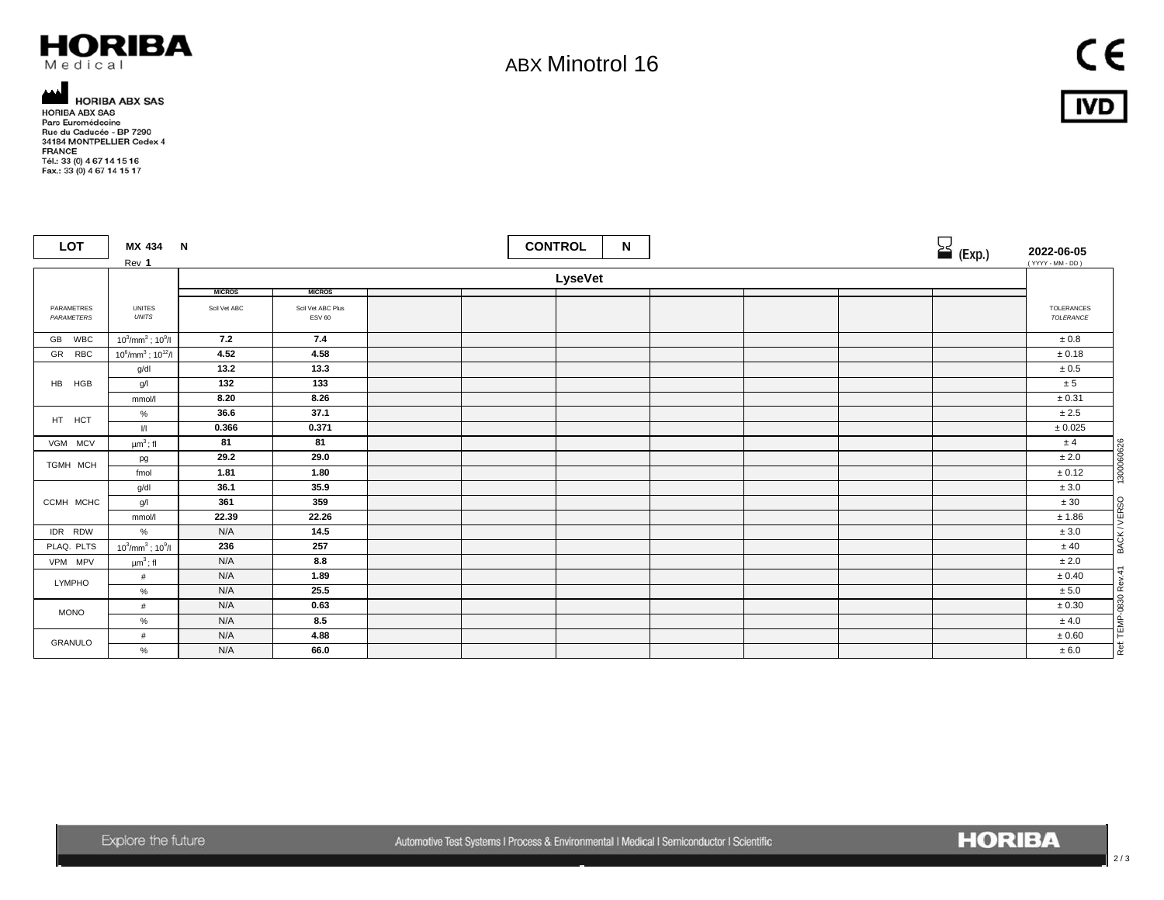

## ABX Minotrol 16

 $C \in$ **IVD** 

**AMPLIBA ABX SAS<br>HORIBA ABX SAS<br>Parc Euromédecine<br>Rue du Caducée - BP 7290<br>34184 MONTPELLIER Cedex 4** FRANCE Tél.: 33 (0) 4 67 14 15 16<br>Fax.: 33 (0) 4 67 14 15 17

 $\overline{\phantom{a}}$ 

| <b>LOT</b>               | MX 434 N<br>Rev 1                      |               |                                    | <b>CONTROL</b> | N |  | $\sum$ (Exp.) | 2022-06-05<br>(YYYY - MM - DD)      |  |
|--------------------------|----------------------------------------|---------------|------------------------------------|----------------|---|--|---------------|-------------------------------------|--|
|                          |                                        | LyseVet       |                                    |                |   |  |               |                                     |  |
|                          |                                        | <b>MICROS</b> | <b>MICROS</b>                      |                |   |  |               |                                     |  |
| PARAMETRES<br>PARAMETERS | <b>UNITES</b><br><b>UNITS</b>          | Scil Vet ABC  | Scil Vet ABC Plus<br><b>ESV 60</b> |                |   |  |               | TOLERANCES<br>TOLERANCE             |  |
| GB WBC                   | $10^3$ /mm <sup>3</sup> ; $10^9$ /l    | 7.2           | 7.4                                |                |   |  |               | $\pm\,0.8$                          |  |
| GR RBC                   | $10^6$ /mm <sup>3</sup> ; $10^{12}$ /l | 4.52          | 4.58                               |                |   |  |               | $\pm$ 0.18                          |  |
|                          | g/dl                                   | 13.2          | 13.3                               |                |   |  |               | $\pm 0.5$                           |  |
| HB HGB                   | g/                                     | 132           | 133                                |                |   |  |               | ± 5                                 |  |
|                          | mmol/l                                 | 8.20          | 8.26                               |                |   |  |               | $\pm 0.31$                          |  |
| HT HCT                   | %                                      | 36.6          | 37.1                               |                |   |  |               | ± 2.5                               |  |
|                          | $\sqrt{ }$                             | 0.366         | 0.371                              |                |   |  |               | $\pm$ 0.025                         |  |
| VGM MCV                  | $\mu m^3$ ; fl                         | 81            | 81                                 |                |   |  |               | ± 4                                 |  |
| TGMH MCH                 | pg                                     | 29.2          | 29.0                               |                |   |  |               | 1300060626<br>± 2.0                 |  |
|                          | fmol                                   | 1.81          | 1.80                               |                |   |  |               | ± 0.12                              |  |
|                          | g/dl                                   | 36.1          | 35.9                               |                |   |  |               | $\pm 3.0$                           |  |
| CCMH MCHC                | g/                                     | 361           | 359                                |                |   |  |               | ± 30                                |  |
|                          | mmol/l                                 | 22.39         | 22.26                              |                |   |  |               | BACK / VERSO<br>± 1.86              |  |
| IDR RDW                  | %                                      | N/A           | 14.5                               |                |   |  |               | $\pm 3.0$                           |  |
| PLAQ. PLTS               | $10^3$ /mm <sup>3</sup> ; $10^9$ /l    | 236           | 257                                |                |   |  |               | ± 40                                |  |
| VPM MPV                  | $\upmu\text{m}^3$ ; fl                 | N/A           | 8.8                                |                |   |  |               | $\pm 2.0$                           |  |
| <b>LYMPHO</b>            | #                                      | N/A           | 1.89                               |                |   |  |               | ± 0.40                              |  |
|                          | $\%$                                   | N/A           | 25.5                               |                |   |  |               | ± 5.0                               |  |
| <b>MONO</b>              | #                                      | N/A           | 0.63                               |                |   |  |               | Ref: TEMP-0830 Rev.41<br>$\pm 0.30$ |  |
|                          | $\%$                                   | N/A           | 8.5                                |                |   |  |               | ± 4.0                               |  |
| GRANULO                  | #                                      | N/A           | 4.88                               |                |   |  |               | ± 0.60                              |  |
|                          | %                                      | N/A           | 66.0                               |                |   |  |               | ± 6.0                               |  |